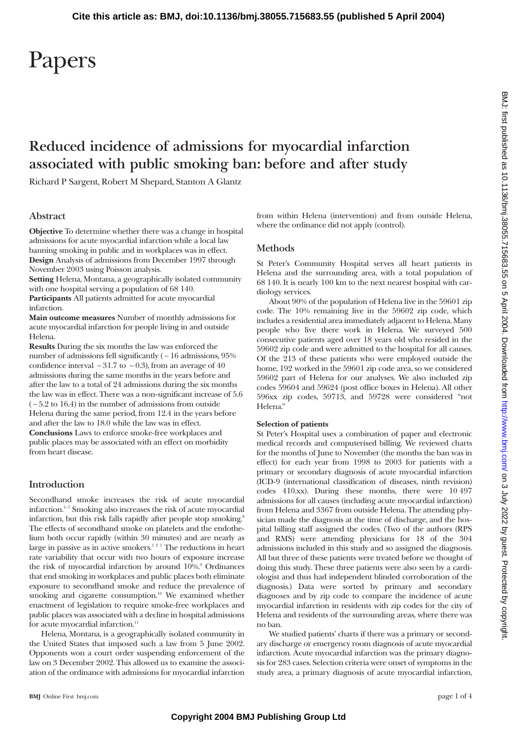# Papers

# **Reduced incidence of admissions for myocardial infarction associated with public smoking ban: before and after study**

Richard P Sargent, Robert M Shepard, Stanton A Glantz

### **Abstract**

**Objective** To determine whether there was a change in hospital admissions for acute myocardial infarction while a local law banning smoking in public and in workplaces was in effect. **Design** Analysis of admissions from December 1997 through November 2003 using Poisson analysis.

**Setting** Helena, Montana, a geographically isolated community with one hospital serving a population of 68 140.

**Participants** All patients admitted for acute myocardial infarction.

**Main outcome measures** Number of monthly admissions for acute myocardial infarction for people living in and outside Helena.

**Results** During the six months the law was enforced the number of admissions fell significantly ( − 16 admissions, 95% confidence interval  $-31.7$  to  $-0.3$ ), from an average of 40 admissions during the same months in the years before and after the law to a total of 24 admissions during the six months the law was in effect. There was a non-significant increase of 5.6 ( − 5.2 to 16.4) in the number of admissions from outside Helena during the same period, from 12.4 in the years before and after the law to 18.0 while the law was in effect. **Conclusions** Laws to enforce smoke-free workplaces and public places may be associated with an effect on morbidity from heart disease.

# **Introduction**

Secondhand smoke increases the risk of acute myocardial infarction.1–7 Smoking also increases the risk of acute myocardial infarction, but this risk falls rapidly after people stop smoking.<sup>8</sup> The effects of secondhand smoke on platelets and the endothelium both occur rapidly (within 30 minutes) and are nearly as large in passive as in active smokers.<sup>125</sup> The reductions in heart rate variability that occur with two hours of exposure increase the risk of myocardial infarction by around  $10\%$ .<sup>9</sup> Ordinances that end smoking in workplaces and public places both eliminate exposure to secondhand smoke and reduce the prevalence of smoking and cigarette consumption.<sup>10</sup> We examined whether enactment of legislation to require smoke-free workplaces and public places was associated with a decline in hospital admissions for acute myocardial infarction.<sup>11</sup>

Helena, Montana, is a geographically isolated community in the United States that imposed such a law from 5 June 2002. Opponents won a court order suspending enforcement of the law on 3 December 2002. This allowed us to examine the association of the ordinance with admissions for myocardial infarction

from within Helena (intervention) and from outside Helena, where the ordinance did not apply (control).

# **Methods**

St Peter's Community Hospital serves all heart patients in Helena and the surrounding area, with a total population of 68 140. It is nearly 100 km to the next nearest hospital with cardiology services.

About 90% of the population of Helena live in the 59601 zip code. The 10% remaining live in the 59602 zip code, which includes a residential area immediately adjacent to Helena. Many people who live there work in Helena. We surveyed 500 consecutive patients aged over 18 years old who resided in the 59602 zip code and were admitted to the hospital for all causes. Of the 213 of these patients who were employed outside the home, 192 worked in the 59601 zip code area, so we considered 59602 part of Helena for our analyses. We also included zip codes 59604 and 59624 (post office boxes in Helena). All other 596xx zip codes, 59713, and 59728 were considered "not Helena."

#### **Selection of patients**

St Peter's Hospital uses a combination of paper and electronic medical records and computerised billing. We reviewed charts for the months of June to November (the months the ban was in effect) for each year from 1998 to 2003 for patients with a primary or secondary diagnosis of acute myocardial infarction (ICD-9 (international classification of diseases, ninth revision) codes 410.xx). During these months, there were 10 497 admissions for all causes (including acute myocardial infarction) from Helena and 3367 from outside Helena. The attending physician made the diagnosis at the time of discharge, and the hospital billing staff assigned the codes. (Two of the authors (RPS and RMS) were attending physicians for 18 of the 304 admissions included in this study and so assigned the diagnosis. All but three of these patients were treated before we thought of doing this study. These three patients were also seen by a cardiologist and thus had independent blinded corroboration of the diagnosis.) Data were sorted by primary and secondary diagnoses and by zip code to compare the incidence of acute myocardial infarction in residents with zip codes for the city of Helena and residents of the surrounding areas, where there was no ban.

We studied patients' charts if there was a primary or secondary discharge or emergency room diagnosis of acute myocardial infarction. Acute myocardial infarction was the primary diagnosis for 283 cases. Selection criteria were onset of symptoms in the study area, a primary diagnosis of acute myocardial infarction,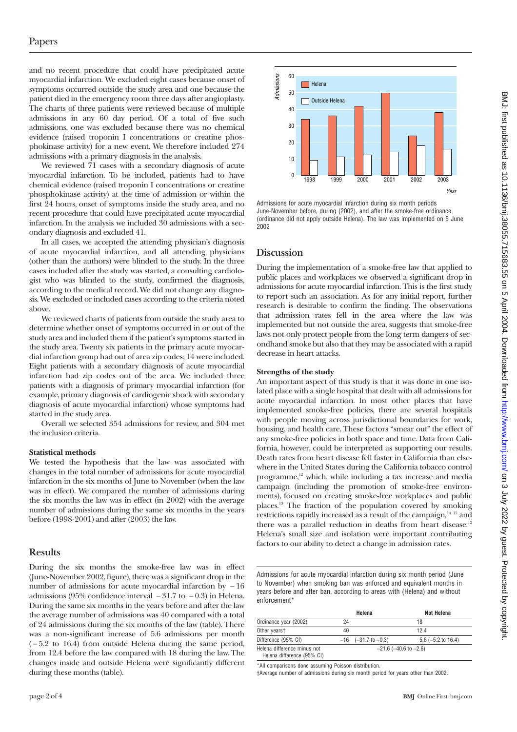and no recent procedure that could have precipitated acute myocardial infarction. We excluded eight cases because onset of symptoms occurred outside the study area and one because the patient died in the emergency room three days after angioplasty. The charts of three patients were reviewed because of multiple admissions in any 60 day period. Of a total of five such admissions, one was excluded because there was no chemical evidence (raised troponin I concentrations or creatine phosphokinase activity) for a new event. We therefore included 274 admissions with a primary diagnosis in the analysis.

We reviewed 71 cases with a secondary diagnosis of acute myocardial infarction. To be included, patients had to have chemical evidence (raised troponin I concentrations or creatine phosphokinase activity) at the time of admission or within the first 24 hours, onset of symptoms inside the study area, and no recent procedure that could have precipitated acute myocardial infarction. In the analysis we included 30 admissions with a secondary diagnosis and excluded 41.

In all cases, we accepted the attending physician's diagnosis of acute myocardial infarction, and all attending physicians (other than the authors) were blinded to the study. In the three cases included after the study was started, a consulting cardiologist who was blinded to the study, confirmed the diagnosis, according to the medical record. We did not change any diagnosis. We excluded or included cases according to the criteria noted above.

We reviewed charts of patients from outside the study area to determine whether onset of symptoms occurred in or out of the study area and included them if the patient's symptoms started in the study area. Twenty six patients in the primary acute myocardial infarction group had out of area zip codes; 14 were included. Eight patients with a secondary diagnosis of acute myocardial infarction had zip codes out of the area. We included three patients with a diagnosis of primary myocardial infarction (for example, primary diagnosis of cardiogenic shock with secondary diagnosis of acute myocardial infarction) whose symptoms had started in the study area.

Overall we selected 354 admissions for review, and 304 met the inclusion criteria.

#### **Statistical methods**

We tested the hypothesis that the law was associated with changes in the total number of admissions for acute myocardial infarction in the six months of June to November (when the law was in effect). We compared the number of admissions during the six months the law was in effect (in 2002) with the average number of admissions during the same six months in the years before (1998-2001) and after (2003) the law.

# **Results**

During the six months the smoke-free law was in effect (June-November 2002, figure), there was a significant drop in the number of admissions for acute myocardial infarction by −16 admissions (95% confidence interval − 31.7 to − 0.3) in Helena. During the same six months in the years before and after the law the average number of admissions was 40 compared with a total of 24 admissions during the six months of the law (table). There was a non-significant increase of 5.6 admissions per month ( − 5.2 to 16.4) from outside Helena during the same period, from 12.4 before the law compared with 18 during the law. The changes inside and outside Helena were significantly different during these months (table).



Admissions for acute myocardial infarction during six month periods June-November before, during (2002), and after the smoke-free ordinance (ordinance did not apply outside Helena). The law was implemented on 5 June 2002

# **Discussion**

During the implementation of a smoke-free law that applied to public places and workplaces we observed a significant drop in admissions for acute myocardial infarction. This is the first study to report such an association. As for any initial report, further research is desirable to confirm the finding. The observations that admission rates fell in the area where the law was implemented but not outside the area, suggests that smoke-free laws not only protect people from the long term dangers of secondhand smoke but also that they may be associated with a rapid decrease in heart attacks.

#### **Strengths of the study**

An important aspect of this study is that it was done in one isolated place with a single hospital that dealt with all admissions for acute myocardial infarction. In most other places that have implemented smoke-free policies, there are several hospitals with people moving across jurisdictional boundaries for work, housing, and health care. These factors "smear out" the effect of any smoke-free policies in both space and time. Data from California, however, could be interpreted as supporting our results. Death rates from heart disease fell faster in California than elsewhere in the United States during the California tobacco control programme,<sup>12</sup> which, while including a tax increase and media campaign (including the promotion of smoke-free environments), focused on creating smoke-free workplaces and public places.13 The fraction of the population covered by smoking restrictions rapidly increased as a result of the campaign,<sup>14 15</sup> and there was a parallel reduction in deaths from heart disease. $12$ Helena's small size and isolation were important contributing factors to our ability to detect a change in admission rates.

Admissions for acute myocardial infarction during six month period (June to November) when smoking ban was enforced and equivalent months in years before and after ban, according to areas with (Helena) and without enforcement<sup>\*</sup>

|                                                           |                               | Helena                           | Not Helena           |
|-----------------------------------------------------------|-------------------------------|----------------------------------|----------------------|
| Ordinance year (2002)                                     | 24                            |                                  | 18                   |
| Other yearst                                              | 40                            |                                  | 124                  |
| Difference (95% CI)                                       |                               | $-16$ $(-31.7 \text{ to } -0.3)$ | $5.6$ (-5.2 to 16.4) |
| Helena difference minus not<br>Helena difference (95% CI) | $-21.6$ ( $-40.6$ to $-2.6$ ) |                                  |                      |

\*All comparisons done assuming Poisson distribution.

†Average number of admissions during six month period for years other than 2002.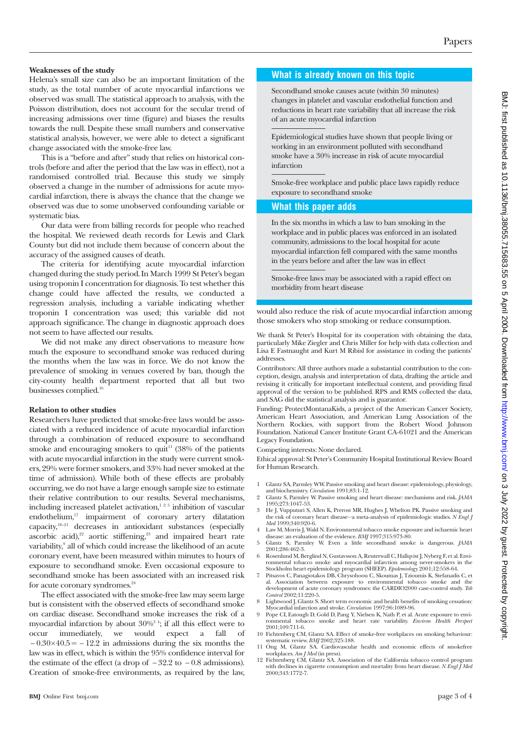#### **Weaknesses of the study**

Helena's small size can also be an important limitation of the study, as the total number of acute myocardial infarctions we observed was small. The statistical approach to analysis, with the Poisson distribution, does not account for the secular trend of increasing admissions over time (figure) and biases the results towards the null. Despite these small numbers and conservative statistical analysis, however, we were able to detect a significant change associated with the smoke-free law.

This is a "before and after" study that relies on historical controls (before and after the period that the law was in effect), not a randomised controlled trial. Because this study we simply observed a change in the number of admissions for acute myocardial infarction, there is always the chance that the change we observed was due to some unobserved confounding variable or systematic bias.

Our data were from billing records for people who reached the hospital. We reviewed death records for Lewis and Clark County but did not include them because of concern about the accuracy of the assigned causes of death.

The criteria for identifying acute myocardial infarction changed during the study period. In March 1999 St Peter's began using troponin I concentration for diagnosis. To test whether this change could have affected the results, we conducted a regression analysis, including a variable indicating whether troponin I concentration was used; this variable did not approach significance. The change in diagnostic approach does not seem to have affected our results.

We did not make any direct observations to measure how much the exposure to secondhand smoke was reduced during the months when the law was in force. We do not know the prevalence of smoking in venues covered by ban, though the city-county health department reported that all but two businesses complied.16

#### **Relation to other studies**

Researchers have predicted that smoke-free laws would be associated with a reduced incidence of acute myocardial infarction through a combination of reduced exposure to secondhand smoke and encouraging smokers to quit<sup>11</sup> (38% of the patients with acute myocardial infarction in the study were current smokers, 29% were former smokers, and 33% had never smoked at the time of admission). While both of these effects are probably occurring, we do not have a large enough sample size to estimate their relative contribution to our results. Several mechanisms, including increased platelet activation,<sup>125</sup> inhibition of vascular endothelium,<sup>17</sup> impairment of coronary artery dilatation capacity,18–21 decreases in antioxidant substances (especially ascorbic acid), $22$  aortic stiffening, $23$  and impaired heart rate variability,<sup>9</sup> all of which could increase the likelihood of an acute coronary event, have been measured within minutes to hours of exposure to secondhand smoke. Even occasional exposure to secondhand smoke has been associated with an increased risk for acute coronary syndromes.<sup>24</sup>

The effect associated with the smoke-free law may seem large but is consistent with the observed effects of secondhand smoke on cardiac disease. Secondhand smoke increases the risk of a myocardial infarction by about 30%3 4; if all this effect were to occur immediately, we would expect a fall of  $-0.30 \times 40.5 = -12.2$  in admissions during the six months the law was in effect, which is within the 95% confidence interval for the estimate of the effect (a drop of  $-32.2$  to  $-0.8$  admissions). Creation of smoke-free environments, as required by the law,

# **What is already known on this topic**

Secondhand smoke causes acute (within 30 minutes) changes in platelet and vascular endothelial function and reductions in heart rate variability that all increase the risk of an acute myocardial infarction

Epidemiological studies have shown that people living or working in an environment polluted with secondhand smoke have a 30% increase in risk of acute myocardial infarction

Smoke-free workplace and public place laws rapidly reduce exposure to secondhand smoke

#### **What this paper adds**

In the six months in which a law to ban smoking in the workplace and in public places was enforced in an isolated community, admissions to the local hospital for acute myocardial infarction fell compared with the same months in the years before and after the law was in effect

Smoke-free laws may be associated with a rapid effect on morbidity from heart disease

would also reduce the risk of acute myocardial infarction among those smokers who stop smoking or reduce consumption.

We thank St Peter's Hospital for its cooperation with obtaining the data, particularly Mike Ziegler and Chris Miller for help with data collection and Lisa E Fastnaught and Kurt M Ribisl for assistance in coding the patients' addresses.

Contributors: All three authors made a substantial contribution to the conception, design, analysis and interpretation of data, drafting the article and revising it critically for important intellectual content, and providing final approval of the version to be published. RPS and RMS collected the data, and SAG did the statistical analysis and is guarantor.

Funding: ProtectMontanaKids, a project of the American Cancer Society, American Heart Association, and American Lung Association of the Northern Rockies, with support from the Robert Wood Johnson Foundation. National Cancer Institute Grant CA-61021 and the American Legacy Foundation.

Competing interests: None declared.

Ethical approval: St Peter's Community Hospital Institutional Review Board for Human Research.

- 1 Glantz SA, Parmley WW. Passive smoking and heart disease: epidemiology, physiology, and biochemistry. *Circulation* 1991;83:1-12.
- 2 Glantz S, Parmley W. Passive smoking and heart disease: mechanisms and risk. *JAMA* 1995;273:1047-53.
- 3 He J, Vupputuri S, Allen K, Prerost MR, Hughes J, Whelton PK. Passive smoking and the risk of coronary heart disease—a meta-analysis of epidemiologic studies. *N Engl J Med* 1999:340:920-6
- 4 Law M, Morris J, Wald N. Environmental tobacco smoke exposure and ischaemic heart disease: an evaluation of the evidence. *BMJ* 1997;315:973-80.
- 5 Glantz S, Parmley W. Even a little secondhand smoke is dangerous. *JAMA* 2001;286:462-3.
- 6 Rosenlund M, Berglind N, Gustavsson A, Reuterwall C, Hallqvist J, Nyberg F, et al. Environmental tobacco smoke and myocardial infarction among never-smokers in the Stockholm heart epidemiology program (SHEEP). *Epidemiology* 2001;12:558-64.<br>7 Pitsavos C, Panagiotakos DB, Chrysohoou C, Skoumas J, Tzioumis K,
- al. Association between exposure to environmental tobacco smoke and the development of acute coronary syndromes: the CARDIO2000 case-control study. *Tob Control* 2002;11:220-5.
- 8 Lightwood J, Glantz S. Short term economic and health benefits of smoking cessation: Myocardial infarction and stroke. *Circulation* 1997;96:1089-96.
- 9 Pope CI, Eatough D, Gold D, Pang Y, Nielsen K, Nath P, et al. Acute exposure to environmental tobacco smoke and heart rate variability. *Environ Health Perspect* 2001;109:711-6.
- 10 Fichtenberg CM, Glantz SA. Effect of smoke-free workplaces on smoking behaviour: systematic review. *BMJ* 2002;325:188. 11 Ong M, Glantz SA. Cardiovascular health and economic effects of smokefree
- workplaces. *Am J Med* (in press).
- 12 Fichtenberg CM, Glantz SA. Association of the California tobacco control program with declines in cigarette consumption and mortality from heart disease. *N Engl J Med* 2000;343:1772-7.